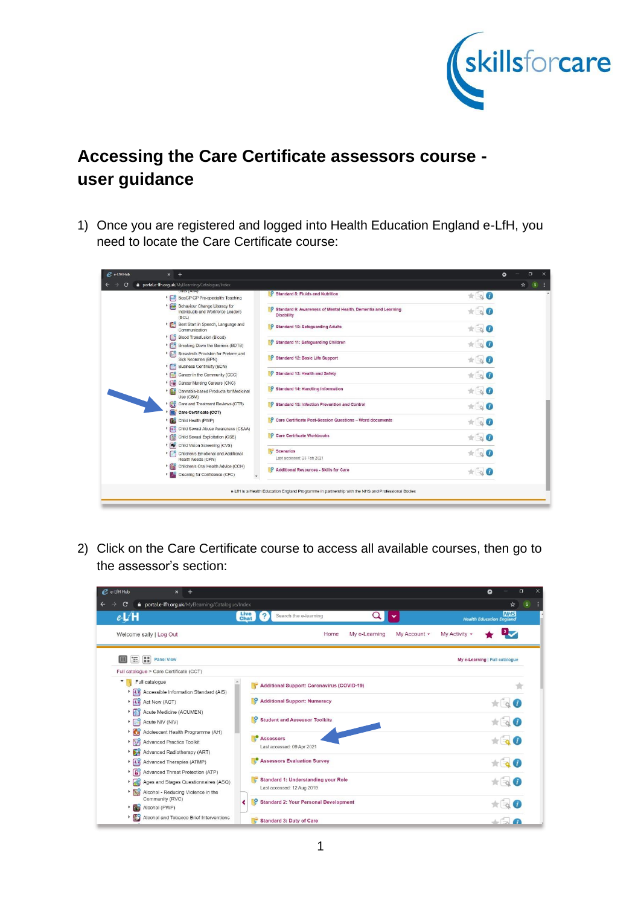

## **Accessing the Care Certificate assessors course user guidance**

1) Once you are registered and logged into Health Education England e-LfH, you need to locate the Care Certificate course:

|   | portal.e-lfh.org.uk/MyElearning/Catalogue/Index                             |                                                                                                   |                           |     |
|---|-----------------------------------------------------------------------------|---------------------------------------------------------------------------------------------------|---------------------------|-----|
| c | UHIIS (ATA)                                                                 |                                                                                                   |                           | ☆ S |
|   | BeaGP GP Pre-speciality Teaching                                            | Standard 8: Fluids and Nutrition                                                                  | $\star$ is $\bullet$      |     |
|   | Behaviour Change Literacy for<br>Individuals and Workforce Leaders<br>(BCL) | Standard 9: Awareness of Mental Health, Dementia and Learning<br><b>Disability</b>                | $*$ $\circ$ $\bullet$     |     |
|   | Best Start in Speech, Language and<br>Communication                         | $\overline{\mathbf{Q}}$<br><b>Standard 10: Safeguarding Adults</b>                                | $*$                       |     |
|   | Blood Transfusion (Blood)                                                   |                                                                                                   |                           |     |
|   | Breaking Down the Barriers (BDTB)                                           | Standard 11: Safequarding Children                                                                | $\star$ $\circ$ 0         |     |
|   | Breastmilk Provision for Preterm and<br>Sick Neonates (BPN)                 | O<br><b>Standard 12: Basic Life Support</b>                                                       | $*$ $\circ$ 0             |     |
|   | Business Continuity (BCN)                                                   |                                                                                                   |                           |     |
|   | Cancer in the Community (CCC)                                               | Standard 13: Health and Safety                                                                    | $\star \circ \bullet$     |     |
|   | $\cdot$ $\Box$<br>Cancer Nursing Careers (CNC)                              |                                                                                                   |                           |     |
|   | Cannabis-based Products for Medicinal<br>Use (CBM)                          | Standard 14: Handling Information                                                                 | $*$                       |     |
|   | Care and Treatment Reviews (CTR)                                            | $\circ$<br>Standard 15: Infection Prevention and Control                                          | $\star$ $\circ$ $\bullet$ |     |
|   | Care Certificate (CCT)                                                      |                                                                                                   |                           |     |
|   | Child Health (PWP)                                                          | Care Certificate Post-Session Questions - Word documents                                          | $*$ $\Box$                |     |
|   | <b>FR</b> Child Sexual Abuse Awareness (CSAA)                               |                                                                                                   |                           |     |
|   | Child Sexual Exploitation (CSE)                                             | O<br><b>Care Certificate Workbooks</b>                                                            | $\star$ $\circ$ 0         |     |
|   | ▶ <i>S</i> Child Vision Screening (CVS)                                     |                                                                                                   |                           |     |
|   | Children's Emotional and Additional<br>Health Needs (CPN)                   | <b>Scenarios</b><br>Last accessed: 23 Feb 2021                                                    | $*$ $\circ$ 0             |     |
|   | Children's Oral Health Advice (COH)                                         | O<br>Additional Resources - Skills for Care                                                       |                           |     |
|   | Cleaning for Confidence (CFC)                                               |                                                                                                   | $\pm \in \mathbf{0}$      |     |
|   |                                                                             | e-LfH is a Health Education England Programme in partnership with the NHS and Professional Bodies |                           |     |

2) Click on the Care Certificate course to access all available courses, then go to the assessor's section:

| $e$ -LfH Hub<br>$\times$                                                                             |                                                                   | σ<br>0                                        |
|------------------------------------------------------------------------------------------------------|-------------------------------------------------------------------|-----------------------------------------------|
| portal.e-Ifh.org.uk/MyElearning/Catalogue/Index<br>$\mathbf{C}$                                      |                                                                   | ☆                                             |
| $e-L/H$                                                                                              | <b>Live</b><br>Chat<br>Search the e-learning                      | <b>NHS</b><br><b>Health Education England</b> |
| Welcome sally   Log Out                                                                              | My Account -<br>Home<br>My e-Learning                             | My Activity -                                 |
| $\overline{\Xi}$<br>m<br><b>Panel View</b><br>П                                                      |                                                                   | My e-Learning   Full catalogue                |
| Full catalogue > Care Certificate (CCT)                                                              |                                                                   |                                               |
| ۰<br>Full catalogue<br>Ly Accessible Information Standard (AIS)                                      | <b>Additional Support: Coronavirus (COVID-19)</b>                 |                                               |
| $\triangleright$ $\overline{H}$ Act Now (ACT)<br>Acute Medicine (ACUMEN)                             | Ö<br><b>Additional Support: Numeracy</b>                          |                                               |
| Acute NIV (NIV)                                                                                      | ō<br><b>Student and Assessor Toolkits</b>                         |                                               |
| Adolescent Health Programme (AH)<br>App Advanced Practice Toolkit<br>Advanced Radiotherapy (ART)     | <b>Assessors</b><br>Last accessed: 09 Apr 2021                    |                                               |
| If Advanced Therapies (ATMP)                                                                         | <b>Assessors Evaluation Survey</b>                                |                                               |
| ▶ <b>[6</b> ] Advanced Threat Protection (ATP)<br>Ages and Stages Questionnaires (ASQ)<br>$\cdot$ 69 | Standard 1: Understanding your Role<br>Last accessed: 12 Aug 2019 |                                               |
| $\cdot$ $\sim$<br>Alcohol - Reducing Violence in the<br>Community (RVC)<br>Alcohol (PWP)             | <b>Standard 2: Your Personal Development</b><br>o                 |                                               |
| Alcohol and Tobacco Brief Interventions                                                              | Standard 3: Duty of Care                                          |                                               |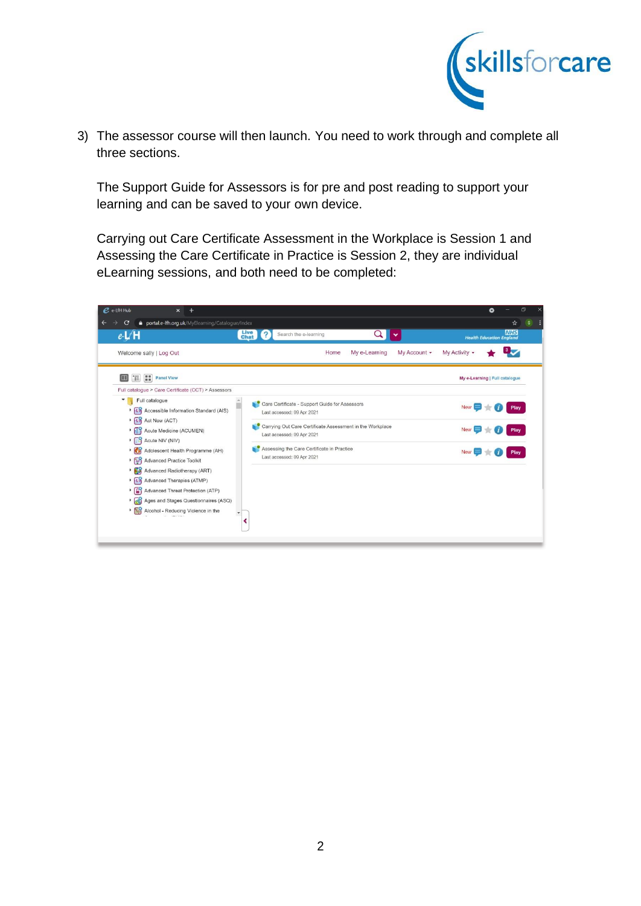

3) The assessor course will then launch. You need to work through and complete all three sections.

The Support Guide for Assessors is for pre and post reading to support your learning and can be saved to your own device.

Carrying out Care Certificate Assessment in the Workplace is Session 1 and Assessing the Care Certificate in Practice is Session 2, they are individual eLearning sessions, and both need to be completed:

| $e$ e-LfH Hub | $\times$<br>$\overline{ }$                                                                               |                                                                                         | σ<br>×<br>۰                                   |
|---------------|----------------------------------------------------------------------------------------------------------|-----------------------------------------------------------------------------------------|-----------------------------------------------|
|               | portal.e-Ifh.org.uk/MyElearning/Catalogue/Index<br>С                                                     |                                                                                         | ☆<br>s                                        |
|               | $e-L/H$                                                                                                  | <b>Live</b><br>Chat<br>Search the e-learning                                            | <b>NHS</b><br><b>Health Education England</b> |
|               | Welcome sally   Log Out                                                                                  | My Account -<br>Home<br>My e-Learning                                                   | My Activity -                                 |
|               | 'E<br>m<br><b>Panel View</b><br>m<br>Full catalogue > Care Certificate (CCT) > Assessors                 |                                                                                         | My e-Learning   Full catalogue                |
|               | Full catalogue<br>Accessible Information Standard (AIS)<br>$\triangleright$ $\overline{H}$ Act Now (ACT) | Care Certificate - Support Guide for Assessors<br>Last accessed: 09 Apr 2021            | New                                           |
|               | Acute Medicine (ACUMEN)<br>Acute NIV (NIV)                                                               | Carrying Out Care Certificate Assessment in the Workplace<br>Last accessed: 09 Apr 2021 | <b>New</b><br>Play                            |
|               | $\cdot$ $\mathbb{C}$<br>Adolescent Health Programme (AH)<br>App Advanced Practice Toolkit                | Assessing the Care Certificate in Practice<br>Last accessed: 09 Apr 2021                | Play                                          |
|               | Advanced Radiotherapy (ART)<br>If Advanced Therapies (ATMP)                                              |                                                                                         |                                               |
|               | ▶ <b>[6</b> ] Advanced Threat Protection (ATP)<br>Ages and Stages Questionnaires (ASQ)<br>$\cdot$ 69     |                                                                                         |                                               |
|               | $\cdot 60$<br>Alcohol - Reducing Violence in the                                                         |                                                                                         |                                               |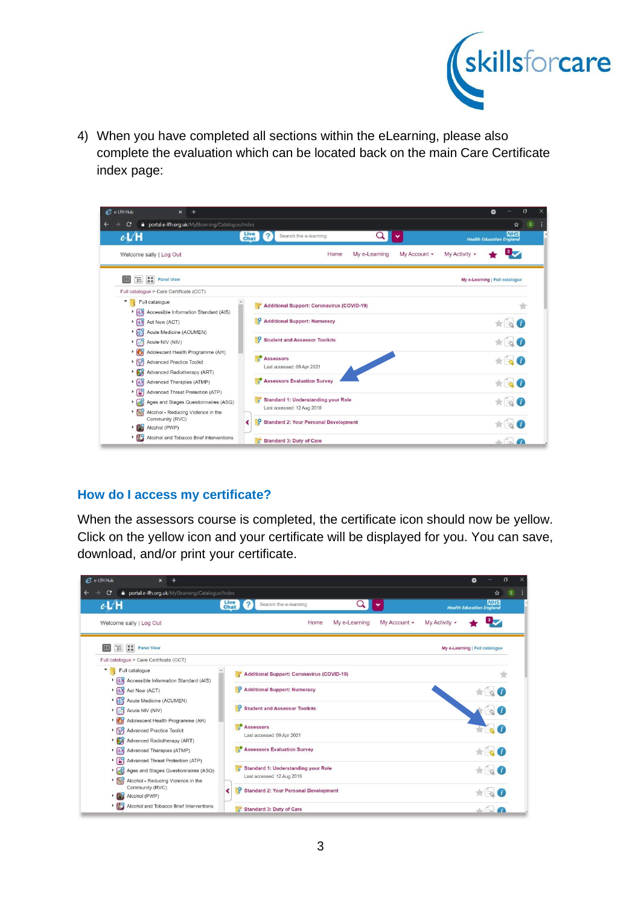

4) When you have completed all sections within the eLearning, please also complete the evaluation which can be located back on the main Care Certificate index page:

| $e$ e-LfH Hub<br>$^{+}$<br>$\times$                                                                                                                        | O<br>Q                                        |  |
|------------------------------------------------------------------------------------------------------------------------------------------------------------|-----------------------------------------------|--|
| portal.e-Ifh.org.uk/MyElearning/Catalogue/Index<br>$\mathbf{C}$                                                                                            | ☆<br>s                                        |  |
| $e-L/H$<br><b>Live</b><br>Chat<br>Search the e-learning                                                                                                    | <b>NHS</b><br><b>Health Education England</b> |  |
| My Account -<br>Welcome sally   Log Out<br>Home<br>My e-Learning                                                                                           | My Activity -                                 |  |
| $\overline{\mathbb{H}}$<br>m<br><b>Panel View</b><br>ш                                                                                                     | My e-Learning   Full catalogue                |  |
| Full catalogue > Care Certificate (CCT)                                                                                                                    |                                               |  |
| Full catalogue<br>$\overline{\phantom{a}}$<br><b>Additional Support: Coronavirus (COVID-19)</b><br><b>ALY</b> Accessible Information Standard (AIS)        |                                               |  |
| Ö<br><b>Additional Support: Numeracy</b><br>$\mathsf{FLF}$ Act Now (ACT)                                                                                   |                                               |  |
| Acute Medicine (ACUMEN)<br>ō<br><b>Student and Assessor Toolkits</b><br>Acute NIV (NIV)                                                                    |                                               |  |
| Adolescent Health Programme (AH)<br><b>Assessors</b><br>App Advanced Practice Toolkit                                                                      |                                               |  |
| Last accessed: 09 Apr 2021<br>Advanced Radiotherapy (ART)                                                                                                  |                                               |  |
| <b>Assessors Evaluation Survey</b><br>If Advanced Therapies (ATMP)                                                                                         |                                               |  |
| ▶ <b>(A)</b> Advanced Threat Protection (ATP)<br>Standard 1: Understanding your Role<br>Ages and Stages Questionnaires (ASQ)<br>Last accessed: 12 Aug 2019 | $\frac{1}{2}$                                 |  |
| $\mathcal{L}_{\eta}^{\mathbf{O}}$<br>Alcohol - Reducing Violence in the<br>٠<br>Community (RVC)<br>Standard 2: Your Personal Development<br>∢              |                                               |  |
| 79<br>Alcohol (PWP)                                                                                                                                        |                                               |  |
| Alcohol and Tobacco Brief Interventions<br>Standard 3: Duty of Care                                                                                        | $\sqrt{2}$                                    |  |

## **How do I access my certificate?**

When the assessors course is completed, the certificate icon should now be yellow. Click on the yellow icon and your certificate will be displayed for you. You can save, download, and/or print your certificate.

| $e$ -LfH Hub<br>$\times$                                                                               |                                                                   | O<br>$\times$<br>۰                            |
|--------------------------------------------------------------------------------------------------------|-------------------------------------------------------------------|-----------------------------------------------|
| portal.e-Ifh.org.uk/MyElearning/Catalogue/Index<br>C                                                   |                                                                   | ☆<br>s                                        |
| $e-L/H$                                                                                                | <b>Live</b><br>Chat<br>Search the e-learning                      | <b>NHS</b><br><b>Health Education England</b> |
| Welcome sally   Log Out                                                                                | My Account -<br>Home<br>My e-Learning                             | My Activity -                                 |
| m<br>'E<br><b>Panel View</b><br>回                                                                      |                                                                   | My e-Learning   Full catalogue                |
| Full catalogue > Care Certificate (CCT)                                                                |                                                                   |                                               |
| $\blacksquare$<br>Full catalogue                                                                       | <b>Additional Support: Coronavirus (COVID-19)</b>                 |                                               |
| <b>A</b> Accessible Information Standard (AIS)<br>$\triangleright$ $\overline{H}$ Act Now (ACT)        | Ю<br><b>Additional Support: Numeracy</b>                          |                                               |
| Acute Medicine (ACUMEN)<br>$\cdot$ $\Box$<br>Acute NIV (NIV)                                           | ō<br><b>Student and Assessor Toolkits</b>                         |                                               |
| $\cdot$ $\mathbb{G}$<br>Adolescent Health Programme (AH)<br>$\frac{1}{2}$<br>Advanced Practice Toolkit | <b>Assessors</b>                                                  |                                               |
| $\cdot$ $\mathbb{E}^{\circ}$<br>Advanced Radiotherapy (ART)                                            | Last accessed: 09 Apr 2021                                        |                                               |
| $F_{10}$<br>Advanced Therapies (ATMP)                                                                  | <b>Assessors Evaluation Survey</b>                                |                                               |
| $\cdot$ (6)<br>Advanced Threat Protection (ATP)<br>$\cdot$ 63<br>Ages and Stages Questionnaires (ASQ)  | Standard 1: Understanding your Role<br>Last accessed: 12 Aug 2019 |                                               |
| $\sqrt{a}$<br>Alcohol - Reducing Violence in the<br>Community (RVC)<br>・露<br>Alcohol (PWP)             | Standard 2: Your Personal Development                             |                                               |
| $\cdot$ (FS<br>Alcohol and Tobacco Brief Interventions                                                 | Standard 3: Duty of Care                                          |                                               |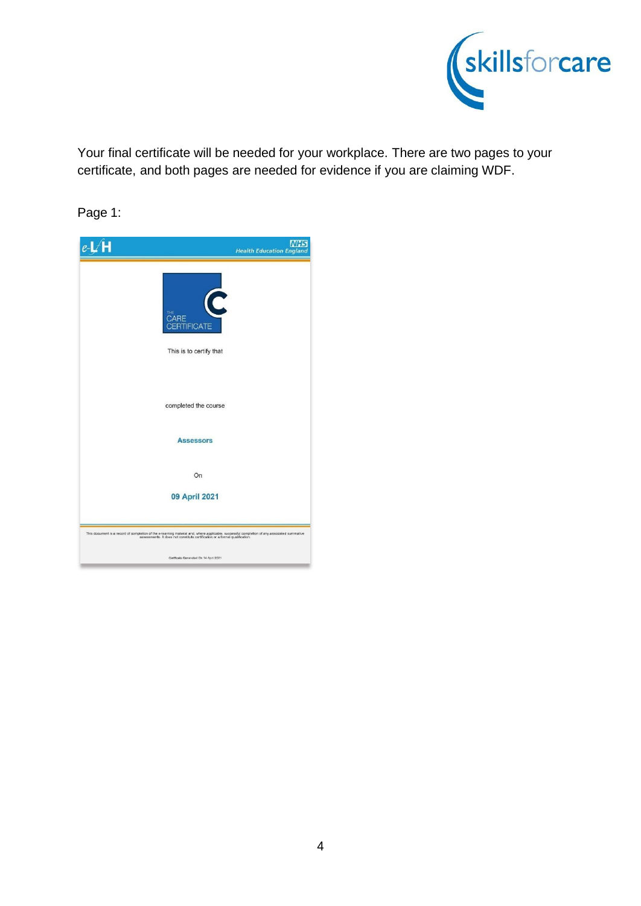

Your final certificate will be needed for your workplace. There are two pages to your certificate, and both pages are needed for evidence if you are claiming WDF.

Page 1: